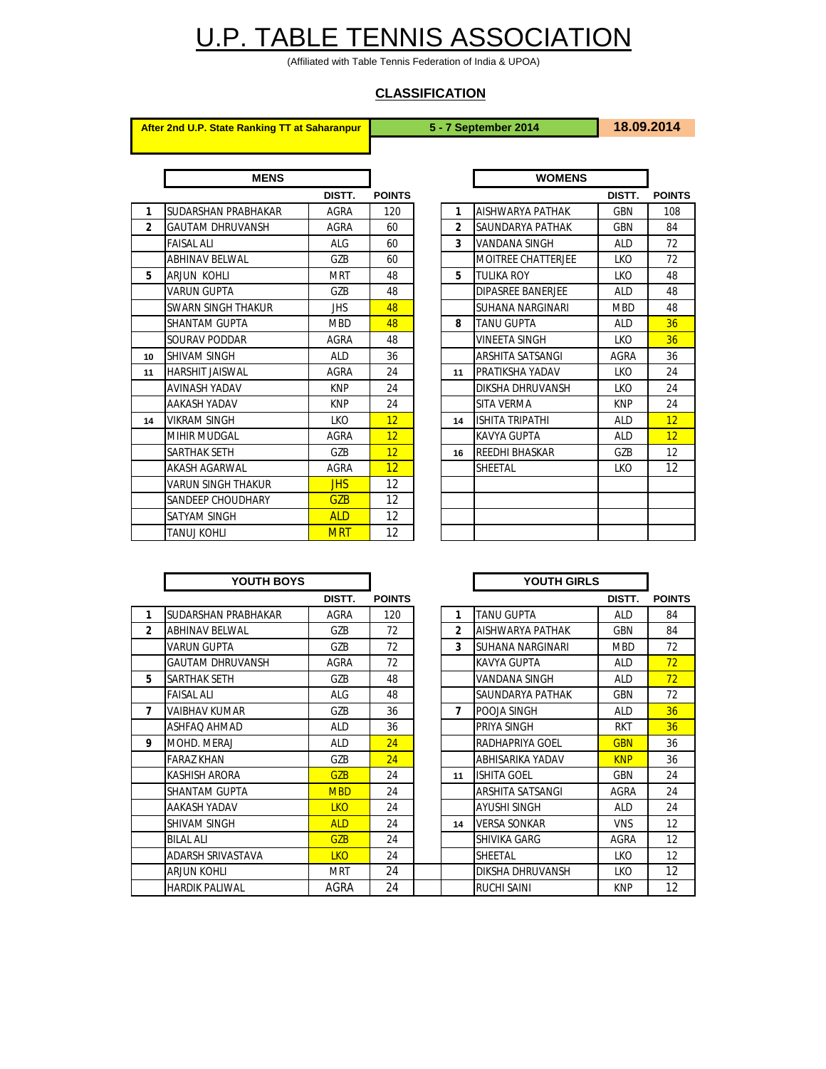## U.P. TABLE TENNIS ASSOCIATION

(Affiliated with Table Tennis Federation of India & UPOA)

## **CLASSIFICATION**

**After 2nd U.P. State Ranking TT at Saharanpur 5 - 7 September 2014 18.09.2014**

|                | <b>MENS</b>               |            |                 |                | <b>WOMENS</b>             |            |             |
|----------------|---------------------------|------------|-----------------|----------------|---------------------------|------------|-------------|
|                |                           | DISTT.     | <b>POINTS</b>   |                |                           | DISTT.     | <b>POIN</b> |
| 1              | SUDARSHAN PRABHAKAR       | AGRA       | 120             | 1              | AISHWARYA PATHAK          | <b>GBN</b> | 108         |
| $\overline{2}$ | <b>GAUTAM DHRUVANSH</b>   | AGRA       | 60              | $\overline{2}$ | SAUNDARYA PATHAK          | GBN        | 84          |
|                | <b>FAISAL ALI</b>         | <b>ALG</b> | 60              | 3              | VANDANA SINGH             | <b>ALD</b> | 72          |
|                | <b>ABHINAV BELWAL</b>     | GZB        | 60              |                | <b>MOITREE CHATTERJEE</b> | <b>LKO</b> | 72          |
| 5              | <b>ARJUN KOHLI</b>        | <b>MRT</b> | 48              | 5              | TULIKA ROY                | LKO        | 48          |
|                | <b>VARUN GUPTA</b>        | GZB        | 48              |                | <b>DIPASREE BANERJEE</b>  | <b>ALD</b> | 48          |
|                | <b>SWARN SINGH THAKUR</b> | <b>JHS</b> | 48              |                | SUHANA NARGINARI          | <b>MBD</b> | 48          |
|                | <b>SHANTAM GUPTA</b>      | <b>MBD</b> | 48              | 8              | TANU GUPTA                | <b>ALD</b> | 36          |
|                | <b>SOURAV PODDAR</b>      | AGRA       | 48              |                | <b>VINEETA SINGH</b>      | <b>LKO</b> | 36          |
| 10             | <b>SHIVAM SINGH</b>       | <b>ALD</b> | 36              |                | <b>ARSHITA SATSANGI</b>   | AGRA       | 36          |
| 11             | <b>HARSHIT JAISWAL</b>    | AGRA       | 24              | 11             | PRATIKSHA YADAV           | LKO        | 24          |
|                | <b>AVINASH YADAV</b>      | <b>KNP</b> | 24              |                | DIKSHA DHRUVANSH          | <b>LKO</b> | 24          |
|                | <b>AAKASH YADAV</b>       | <b>KNP</b> | 24              |                | <b>SITA VERMA</b>         | <b>KNP</b> | 24          |
| 14             | <b>VIKRAM SINGH</b>       | LKO        | 12              | 14             | <b>ISHITA TRIPATHI</b>    | <b>ALD</b> | 12          |
|                | <b>MIHIR MUDGAL</b>       | AGRA       | 12              |                | <b>KAVYA GUPTA</b>        | <b>ALD</b> | 12          |
|                | <b>SARTHAK SETH</b>       | GZB        | 12              | 16             | <b>REEDHI BHASKAR</b>     | GZB        | 12          |
|                | <b>AKASH AGARWAL</b>      | AGRA       | 12 <sup>2</sup> |                | SHEETAL                   | LKO.       | 12          |
|                | <b>VARUN SINGH THAKUR</b> | <b>JHS</b> | 12              |                |                           |            |             |
|                | SANDEEP CHOUDHARY         | <b>GZB</b> | 12              |                |                           |            |             |
|                | SATYAM SINGH              | <b>ALD</b> | 12              |                |                           |            |             |
|                | TANUJ KOHLI               | <b>MRT</b> | 12              |                |                           |            |             |

| <b>MENS</b> |             |               |                | <b>WOMENS</b>             |            |               |
|-------------|-------------|---------------|----------------|---------------------------|------------|---------------|
|             | DISTT.      | <b>POINTS</b> |                |                           | DISTT.     | <b>POINTS</b> |
| HAKAR       | AGRA        | 120           | 1              | AISHWARYA PATHAK          | <b>GBN</b> | 108           |
| <b>NSH</b>  | AGRA        | 60            | $\overline{2}$ | SAUNDARYA PATHAK          | <b>GBN</b> | 84            |
|             | <b>ALG</b>  | 60            | 3              | <b>VANDANA SINGH</b>      | <b>ALD</b> | 72            |
|             | GZB         | 60            |                | <b>MOITREE CHATTERJEE</b> | <b>LKO</b> | 72            |
|             | <b>MRT</b>  | 48            | 5              | <b>TULIKA ROY</b>         | <b>LKO</b> | 48            |
|             | GZB         | 48            |                | DIPASREE BANERJEE         | <b>ALD</b> | 48            |
| <b>KUR</b>  | <b>JHS</b>  | 48            |                | <b>SUHANA NARGINARI</b>   | <b>MBD</b> | 48            |
|             | <b>MBD</b>  | 48            | 8              | <b>TANU GUPTA</b>         | <b>ALD</b> | 36            |
|             | AGRA        | 48            |                | <b>VINEETA SINGH</b>      | <b>LKO</b> | 36            |
|             | <b>ALD</b>  | 36            |                | <b>ARSHITA SATSANGI</b>   | AGRA       | 36            |
|             | AGRA        | 24            | 11             | PRATIKSHA YADAV           | <b>LKO</b> | 24            |
|             | <b>KNP</b>  | 24            |                | DIKSHA DHRUVANSH          | <b>LKO</b> | 24            |
|             | <b>KNP</b>  | 24            |                | <b>SITA VERMA</b>         | <b>KNP</b> | 24            |
|             | LKO.        | 12            | 14             | <b>ISHITA TRIPATHI</b>    | <b>ALD</b> | 12            |
|             | AGRA        | 12            |                | <b>KAVYA GUPTA</b>        | <b>ALD</b> | 12            |
|             | GZB         | 12            | 16             | REEDHI BHASKAR            | GZB        | 12            |
|             | <b>AGRA</b> | 12            |                | SHEETAL                   | LKO        | 12            |
| KUR         | <b>JHS</b>  | 12            |                |                           |            |               |
| ARY         | <b>GZB</b>  | 12            |                |                           |            |               |
|             | <b>ALD</b>  | 12            |                |                           |            |               |
|             | <b>MRT</b>  | 12            |                |                           |            |               |

|                | YOUTH BOYS               |             |               | YOUTH GIRLS    |                         |             |             |
|----------------|--------------------------|-------------|---------------|----------------|-------------------------|-------------|-------------|
|                |                          | DISTT.      | <b>POINTS</b> |                |                         | DISTT.      | <b>POIN</b> |
| 1              | SUDARSHAN PRABHAKAR      | <b>AGRA</b> | 120           | 1              | <b>TANU GUPTA</b>       | <b>ALD</b>  | 84          |
| $\overline{2}$ | <b>ABHINAV BELWAL</b>    | GZB         | 72            | $\overline{2}$ | AISHWARYA PATHAK        | <b>GBN</b>  | 84          |
|                | <b>VARUN GUPTA</b>       | GZB         | 72            | 3              | <b>SUHANA NARGINARI</b> | <b>MBD</b>  | 72          |
|                | <b>GAUTAM DHRUVANSH</b>  | AGRA        | 72            |                | <b>KAVYA GUPTA</b>      | <b>ALD</b>  | 72          |
| 5              | SARTHAK SETH             | GZB         | 48            |                | <b>VANDANA SINGH</b>    | <b>ALD</b>  | 72          |
|                | <b>FAISAL ALI</b>        | ALG         | 48            |                | SAUNDARYA PATHAK        | <b>GBN</b>  | 72          |
| 7              | VAIBHAV KUMAR            | GZB         | 36            | 7              | POOJA SINGH             | <b>ALD</b>  | 36          |
|                | ASHFAO AHMAD             | <b>ALD</b>  | 36            |                | PRIYA SINGH             | <b>RKT</b>  | 36          |
| 9              | MOHD. MERAJ              | <b>ALD</b>  | 24            |                | RADHAPRIYA GOEL         | <b>GBN</b>  | 36          |
|                | <b>FARAZ KHAN</b>        | GZB         | 24            |                | ABHISARIKA YADAV        | <b>KNP</b>  | 36          |
|                | <b>KASHISH ARORA</b>     | <b>GZB</b>  | 24            | 11             | <b>ISHITA GOEL</b>      | <b>GBN</b>  | 24          |
|                | <b>SHANTAM GUPTA</b>     | <b>MBD</b>  | 24            |                | ARSHITA SATSANGI        | AGRA        | 24          |
|                | AAKASH YADAV             | <b>LKO</b>  | 24            |                | <b>AYUSHI SINGH</b>     | <b>ALD</b>  | 24          |
|                | <b>SHIVAM SINGH</b>      | <b>ALD</b>  | 24            | 14             | <b>VERSA SONKAR</b>     | <b>VNS</b>  | 12          |
|                | <b>BILAL ALI</b>         | <b>GZB</b>  | 24            |                | <b>SHIVIKA GARG</b>     | <b>AGRA</b> | 12          |
|                | <b>ADARSH SRIVASTAVA</b> | <b>LKO</b>  | 24            |                | <b>SHEETAL</b>          | <b>LKO</b>  | 12          |
|                | <b>ARJUN KOHLI</b>       | <b>MRT</b>  | 24            |                | DIKSHA DHRUVANSH        | <b>LKO</b>  | 12          |
|                | <b>HARDIK PALIWAL</b>    | AGRA        | 24            |                | <b>RUCHI SAINI</b>      | <b>KNP</b>  | 12          |

| YOUTH BOYS              |             |               |    | YOUTH GIRLS         |            |               |
|-------------------------|-------------|---------------|----|---------------------|------------|---------------|
|                         | DISTT.      | <b>POINTS</b> |    |                     | DISTT.     | <b>POINTS</b> |
| SUDARSHAN PRABHAKAR     | AGRA        | 120           | 1  | TANU GUPTA          | <b>ALD</b> | 84            |
| ABHINAV BELWAL          | GZB         | 72            | 2  | AISHWARYA PATHAK    | <b>GBN</b> | 84            |
| VARUN GUPTA             | GZB         | 72            | 3  | SUHANA NARGINARI    | <b>MBD</b> | 72            |
| <b>GAUTAM DHRUVANSH</b> | <b>AGRA</b> | 72            |    | <b>KAVYA GUPTA</b>  | <b>ALD</b> | 72            |
| SARTHAK SETH            | GZB         | 48            |    | VANDANA SINGH       | <b>ALD</b> | 72            |
| FAISAL ALI              | ALG         | 48            |    | SAUNDARYA PATHAK    | <b>GBN</b> | 72            |
| VAIBHAV KUMAR           | GZB         | 36            | 7  | POOJA SINGH         | <b>ALD</b> | 36            |
| ASHFAO AHMAD            | <b>ALD</b>  | 36            |    | PRIYA SINGH         | <b>RKT</b> | 36            |
| MOHD. MERAJ             | <b>ALD</b>  | 24            |    | RADHAPRIYA GOEL     | <b>GBN</b> | 36            |
| FARAZ KHAN              | GZB         | 24            |    | ABHISARIKA YADAV    | <b>KNP</b> | 36            |
| KASHISH ARORA           | <b>GZB</b>  | 24            | 11 | <b>ISHITA GOEL</b>  | <b>GBN</b> | 24            |
| SHANTAM GUPTA           | <b>MBD</b>  | 24            |    | ARSHITA SATSANGI    | AGRA       | 24            |
| AAKASH YADAV            | <b>LKO</b>  | 24            |    | <b>AYUSHI SINGH</b> | <b>ALD</b> | 24            |
| SHIVAM SINGH            | <b>ALD</b>  | 24            | 14 | <b>VERSA SONKAR</b> | <b>VNS</b> | 12            |
| <b>BILAL ALI</b>        | <b>GZB</b>  | 24            |    | <b>SHIVIKA GARG</b> | AGRA       | 12            |
| ADARSH SRIVASTAVA       | <b>LKO</b>  | 24            |    | SHEETAL             | LKO        | 12            |
| ARJUN KOHLI             | <b>MRT</b>  | 24            |    | DIKSHA DHRUVANSH    | LKO        | 12            |
| <b>HARDIK PALIWAL</b>   | AGRA        | 24            |    | <b>RUCHI SAINI</b>  | <b>KNP</b> | 12            |